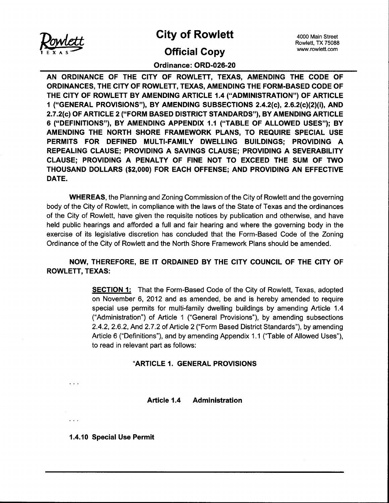

City of Rowlett 4000 Main Street

# **Official Copy** www.rowlett.com

Rowlett, TX 75088

## Ordinance: ORD-026-20

AN ORDINANCE OF THE CITY OF ROWLETT, TEXAS, AMENDING THE CODE OF ORDINANCES, THE CITY OF ROWLETT, TEXAS, AMENDING THE FORM-BASED CODE OF THE CITY OF ROWLETT BY AMENDING ARTICLE 1.4 ("ADMINISTRATION") OF ARTICLE 1 ("GENERAL PROVISIONS"), BY AMENDING SUBSECTIONS 2.4.2(c), 2.6.2(c)(2)(i), AND 2. 7. 2( c) OF ARTICLE 2 (" FORM BASED DISTRICT STANDARDS"), BY AMENDING ARTICLE 6 ("DEFINITIONS"), BY AMENDING APPENDIX 1.1 ("TABLE OF ALLOWED USES"); BY AMENDING THE NORTH SHORE FRAMEWORK PLANS, TO REQUIRE SPECIAL USE PERMITS FOR DEFINED MULTI-FAMILY DWELLING BUILDINGS; PROVIDING A REPEALING CLAUSE; PROVIDING A SAVINGS CLAUSE; PROVIDING A SEVERABILITY CLAUSE; PROVIDING A PENALTY OF FINE NOT TO EXCEED THE SUM OF TWO THOUSAND DOLLARS (\$2,000) FOR EACH OFFENSE; AND PROVIDING AN EFFECTIVE DATE.

WHEREAS, the Planning and Zoning Commission of the City of Rowlett and the governing body of the City of Rowlett, in compliance with the laws of the State of Texas and the ordinances of the City of Rowlett, have given the requisite notices by publication and otherwise, and have held public hearings and afforded a full and fair hearing and where the governing body in the exercise of its legislative discretion has concluded that the Form-Based Code of the Zoning Ordinance of the City of Rowlett and the North Shore Framework Plans should be amended.

NOW, THEREFORE, BE IT ORDAINED BY THE CITY COUNCIL OF THE CITY OF ROWLETT, TEXAS:

> **SECTION 1:** That the Form-Based Code of the City of Rowlett, Texas, adopted on November 6, 2012 and as amended, be and is hereby amended to require special use permits for multi-family dwelling buildings by amending Article 1.4 Administration") of Article 1 (" General Provisions"), by amending subsections 2. 4.2, 2. 6. 2, And 2. 7. 2 of Article 2 (" Form Based District Standards"), by amending Article 6 ("Definitions"), and by amending Appendix 1.1 ("Table of Allowed Uses"), to read in relevant part as follows:

## ARTICLE 1. GENERAL PROVISIONS

Article 1.4 Administration

1. 4. 10 Special Use Permit

 $\ldots$ 

 $\sim 100$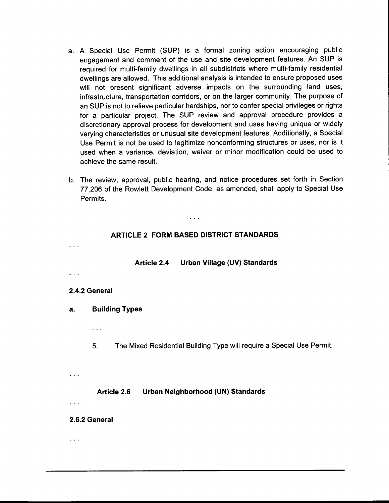- a. A Special Use Permit ( SUP) is a formal zoning action encouraging public engagement and comment of the use and site development features. An SUP is required for multi-family dwellings in all subdistricts where multi-family residential dwellings are allowed. This additional analysis is intended to ensure proposed uses will not present significant adverse impacts on the surrounding land uses, infrastructure, transportation corridors, or on the larger community. The purpose of an SUP is not to relieve particular hardships, nor to confer special privileges or rights for a particular project. The SUP review and approval procedure provides a discretionary approval process for development and uses having unique or widely varying characteristics or unusual site development features. Additionally, a Special Use Permit is not be used to legitimize nonconforming structures or uses, nor is it used when a variance, deviation, waiver or minor modification could be used to achieve the same result.
- b. The review, approval, public hearing, and notice procedures set forth in Section 77. 206 of the Rowlett Development Code, as amended, shall apply to Special Use Permits.

# ARTICLE 2 FORM BASED DISTRICT STANDARDS

 $\sim 100$ 

Article 2.4 Urban Village (UV) Standards

#### 2.4.2 General

 $\sim 10^{-1}$ 

 $\ddotsc$ 

a. Building Types

 $\sim 10$ 

5. The Mixed Residential Building Type will require a Special Use Permit.

 $\ddotsc$ 

 $\ddotsc$ 

 $\sim$   $\sim$ 

#### Article 2.6 Urban Neighborhood (UN) Standards

#### 2.6.2 General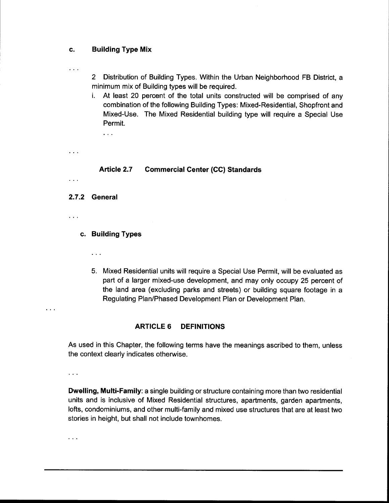#### c. Building Type Mix

 $\cdots$ 

2 Distribution of Building Types. Within the Urban Neighborhood FB District, a minimum mix of Building types will be required.

i. At least 20 percent of the total units constructed will be comprised of any combination of the following Building Types: Mixed- Residential, Shopfront and Mixed-Use. The Mixed Residential building type will require a Special Use Permit.

 $\ddotsc$ 

## Article 2.7 Commercial Center (CC) Standards

- 
- 2.7.2 General
- $\mathbf{r}$

 $\sim$  .

 $\cdots$ 

#### c. Building Types

- $\ddots$
- 5. Mixed Residential units will require a Special Use Permit, will be evaluated as part of a larger mixed-use development, and may only occupy 25 percent of the land area ( excluding parks and streets) or building square footage in a Regulating Plan/Phased Development Plan or Development Plan.

#### ARTICLE 6 DEFINITIONS

As used in this Chapter, the following terms have the meanings ascribed to them, unless the context clearly indicates otherwise.

 $\sim 10$ 

 $\sim$   $\sim$   $\sim$ 

**Dwelling, Multi-Family:** a single building or structure containing more than two residential units and is inclusive of Mixed Residential structures, apartments, garden apartments, lofts, condominiums, and other multi-family and mixed use structures that are at least two stories in height, but shall not include townhomes.

 $\ddotsc$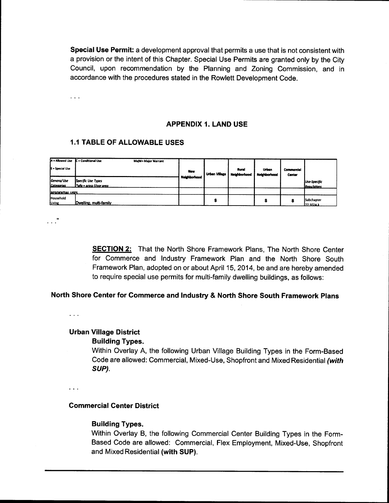Special Use Permit: a development approval that permits a use that is not consistent with a provision or the intent of this Chapter. Special Use Permits are granted only by the City Council, upon recommendation by the Planning and Zoning Commission, and in accordance with the procedures stated in the Rowlett Development Code.

 $\sim 10$ 

#### APPENDIX 1. LAND USE

#### **1.1 TABLE OF ALLOWABLE USES**

| A = Allowed Use<br>S = Special Use | C = Conditional Use<br>MajW= Major Warrant      | New          | <b>Urban Village</b> | Rural<br>Neighborhood | Urban<br>Neighborhood | <b>Commercial</b><br>Center |                                    |
|------------------------------------|-------------------------------------------------|--------------|----------------------|-----------------------|-----------------------|-----------------------------|------------------------------------|
| Genera/Use<br>Categories           | Specific Use Types<br>l *afa = aross f/oor area | Neighborhood |                      |                       |                       |                             | Use-Specific<br><b>Regu/ations</b> |
| <b>RESIDENTIAL USES</b>            |                                                 |              |                      |                       |                       |                             |                                    |
| Household<br>Living                | Dwelling, multi-family                          |              |                      |                       |                       |                             | Subchapter<br>177-3024.3           |

 $\cdots$   $\cdots$ 

**SECTION 2:** That the North Shore Framework Plans, The North Shore Center for Commerce and Industry Framework Plan and the North Shore South Framework Plan, adopted on or about April 15, 2014, be and are hereby amended to require special use permits for multi-family dwelling buildings, as follows:

#### North Shore Center for Commerce and Industry & North Shore South Framework Plans

 $\sim 100$ 

# Urban Village District

#### Building Types.

Within Overlay A, the following Urban Village Building Types in the Form-Based Code are allowed: Commercial, Mixed-Use, Shopfront and Mixed Residential (with SUP).

 $\cdots$ 

## Commercial Center District

#### Building Types.

Within Overlay B, the following Commercial Center Building Types in the Form-Based Code are allowed: Commercial, Flex Employment, Mixed- Use, Shopfront and Mixed Residential (with SUP).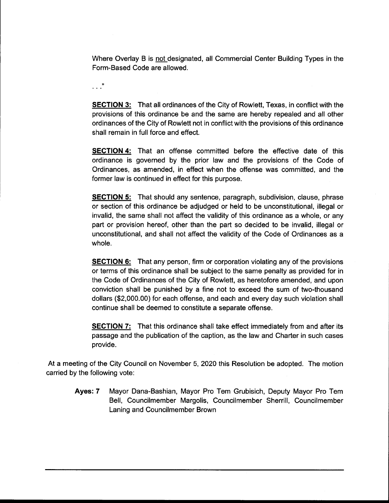Where Overlay B is not designated, all Commercial Center Building Types in the Form- Based Code are allowed.

 $\cdots$   $\cdots$ 

SECTION 3: That all ordinances of the City of Rowlett, Texas, in conflict with the provisions of this ordinance be and the same are hereby repealed and all other ordinances of the City of Rowlett not in conflict with the provisions of this ordinance shall remain in full force and effect.

SECTION 4: That an offense committed before the effective date of this ordinance is governed by the prior law and the provisions of the Code of Ordinances, as amended, in effect when the offense was committed, and the former law is continued in effect for this purpose.

**SECTION 5:** That should any sentence, paragraph, subdivision, clause, phrase or section of this ordinance be adjudged or held to be unconstitutional, illegal or invalid, the same shall not affect the validity of this ordinance as a whole, or any part or provision hereof, other than the part so decided to be invalid, illegal or unconstitutional, and shall not affect the validity of the Code of Ordinances as a whole.

**SECTION 6:** That any person, firm or corporation violating any of the provisions or terms of this ordinance shall be subject to the same penalty as provided for in the Code of Ordinances of the City of Rowlett, as heretofore amended, and upon conviction shall be punished by a fine not to exceed the sum of two-thousand dollars (\$2,000.00) for each offense, and each and every day such violation shall continue shall be deemed to constitute a separate offense.

SECTION 7: That this ordinance shall take effect immediately from and after its passage and the publication of the caption, as the law and Charter in such cases provide.

At <sup>a</sup> meeting of the City Council on November 5, 2020 this Resolution be adopted. The motion carried by the following vote:

Ayes: 7 Mayor Dana-Bashian, Mayor Pro Tem Grubisich, Deputy Mayor Pro Tem Bell, Councilmember Margolis, Councilmember Sherrill, Councilmember Laning and Councilmember Brown